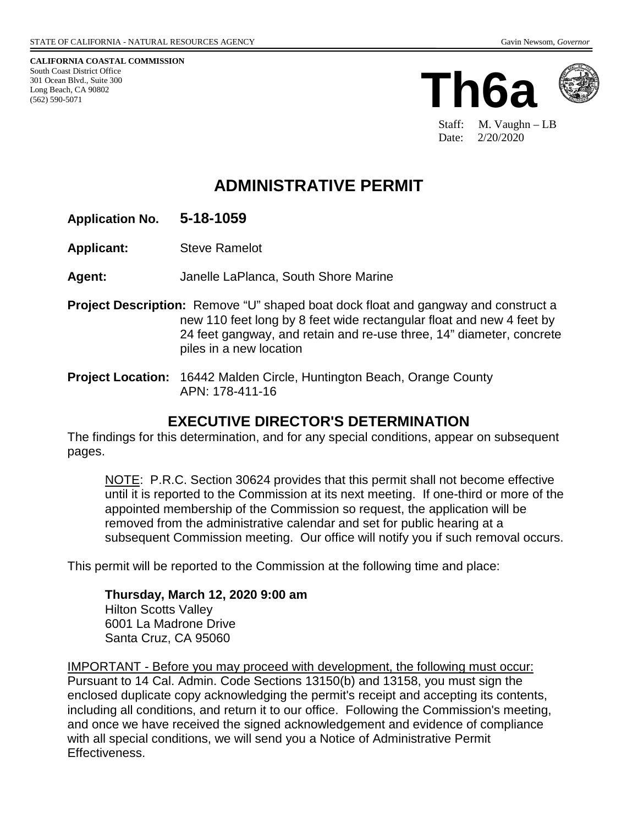**CALIFORNIA COASTAL COMMISSION** South Coast District Office 301 Ocean Blvd., Suite 300 Long Beach, CA 90802 (562) 590-5071





Staff: M. Vaughn – LB Date: 2/20/2020

# **ADMINISTRATIVE PERMIT**

### **Application No. 5-18-1059**

**Applicant:** Steve Ramelot

**Agent:** Janelle LaPlanca, South Shore Marine

**Project Description:** Remove "U" shaped boat dock float and gangway and construct a new 110 feet long by 8 feet wide rectangular float and new 4 feet by 24 feet gangway, and retain and re-use three, 14" diameter, concrete piles in a new location

**Project Location:** 16442 Malden Circle, Huntington Beach, Orange County APN: 178-411-16

### **EXECUTIVE DIRECTOR'S DETERMINATION**

The findings for this determination, and for any special conditions, appear on subsequent pages.

NOTE: P.R.C. Section 30624 provides that this permit shall not become effective until it is reported to the Commission at its next meeting. If one-third or more of the appointed membership of the Commission so request, the application will be removed from the administrative calendar and set for public hearing at a subsequent Commission meeting. Our office will notify you if such removal occurs.

This permit will be reported to the Commission at the following time and place:

**Thursday, March 12, 2020 9:00 am** Hilton Scotts Valley 6001 La Madrone Drive Santa Cruz, CA 95060

IMPORTANT - Before you may proceed with development, the following must occur: Pursuant to 14 Cal. Admin. Code Sections 13150(b) and 13158, you must sign the enclosed duplicate copy acknowledging the permit's receipt and accepting its contents, including all conditions, and return it to our office. Following the Commission's meeting, and once we have received the signed acknowledgement and evidence of compliance with all special conditions, we will send you a Notice of Administrative Permit Effectiveness.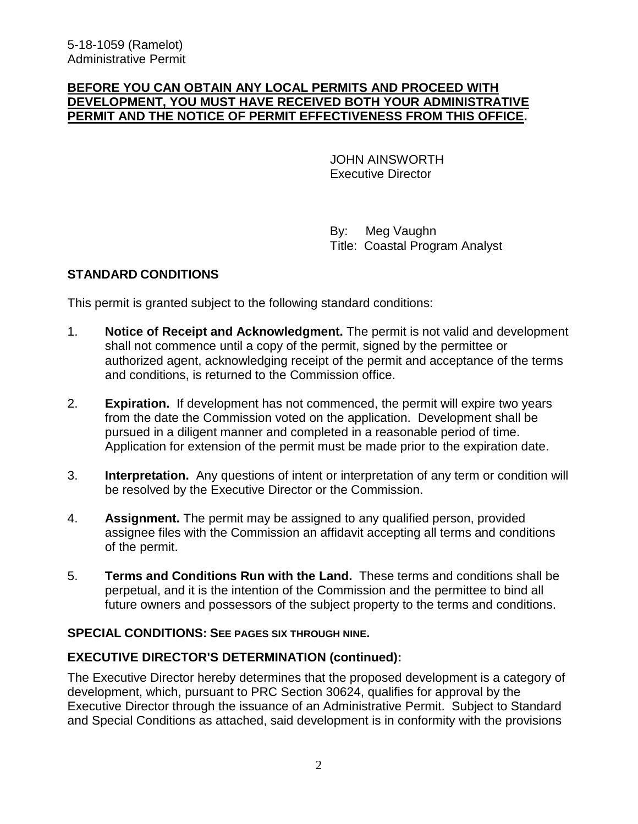#### **BEFORE YOU CAN OBTAIN ANY LOCAL PERMITS AND PROCEED WITH DEVELOPMENT, YOU MUST HAVE RECEIVED BOTH YOUR ADMINISTRATIVE PERMIT AND THE NOTICE OF PERMIT EFFECTIVENESS FROM THIS OFFICE.**

 JOHN AINSWORTH Executive Director

 By: Meg Vaughn Title: Coastal Program Analyst

### **STANDARD CONDITIONS**

This permit is granted subject to the following standard conditions:

- 1. **Notice of Receipt and Acknowledgment.** The permit is not valid and development shall not commence until a copy of the permit, signed by the permittee or authorized agent, acknowledging receipt of the permit and acceptance of the terms and conditions, is returned to the Commission office.
- 2. **Expiration.** If development has not commenced, the permit will expire two years from the date the Commission voted on the application. Development shall be pursued in a diligent manner and completed in a reasonable period of time. Application for extension of the permit must be made prior to the expiration date.
- 3. **Interpretation.** Any questions of intent or interpretation of any term or condition will be resolved by the Executive Director or the Commission.
- 4. **Assignment.** The permit may be assigned to any qualified person, provided assignee files with the Commission an affidavit accepting all terms and conditions of the permit.
- 5. **Terms and Conditions Run with the Land.** These terms and conditions shall be perpetual, and it is the intention of the Commission and the permittee to bind all future owners and possessors of the subject property to the terms and conditions.

#### **SPECIAL CONDITIONS: SEE PAGES SIX THROUGH NINE.**

### **EXECUTIVE DIRECTOR'S DETERMINATION (continued):**

The Executive Director hereby determines that the proposed development is a category of development, which, pursuant to PRC Section 30624, qualifies for approval by the Executive Director through the issuance of an Administrative Permit. Subject to Standard and Special Conditions as attached, said development is in conformity with the provisions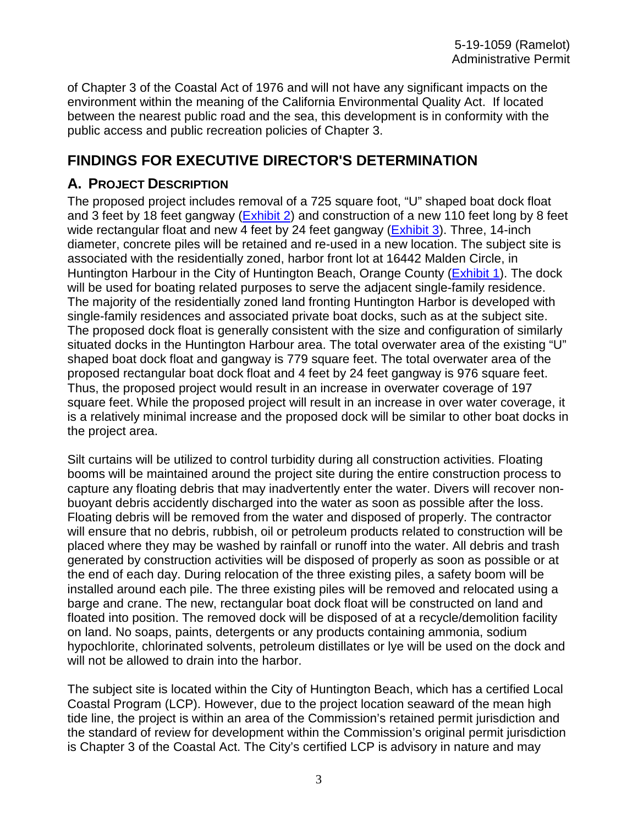of Chapter 3 of the Coastal Act of 1976 and will not have any significant impacts on the environment within the meaning of the California Environmental Quality Act. If located between the nearest public road and the sea, this development is in conformity with the public access and public recreation policies of Chapter 3.

## **FINDINGS FOR EXECUTIVE DIRECTOR'S DETERMINATION**

### **A. PROJECT DESCRIPTION**

The proposed project includes removal of a 725 square foot, "U" shaped boat dock float and 3 feet by 18 feet gangway  $(Exhibit 2)$  and construction of a new 110 feet long by 8 feet wide rectangular float and new 4 feet by 24 feet gangway (Exhibit 3). Three, 14-inch diameter, concrete piles will be retained and re-used in a new location. The subject site is associated with the residentially zoned, harbor front lot at 16442 Malden Circle, in Huntington Harbour in the City of Huntington Beach, Orange County (Exhibit 1). The dock will be used for boating related purposes to serve the adjacent single-family residence. The majority of the residentially zoned land fronting Huntington Harbor is developed with single-family residences and associated private boat docks, such as at the subject site. The proposed dock float is generally consistent with the size and configuration of similarly situated docks in the Huntington Harbour area. The total overwater area of the existing "U" shaped boat dock float and gangway is 779 square feet. The total overwater area of the proposed rectangular boat dock float and 4 feet by 24 feet gangway is 976 square feet. Thus, the proposed project would result in an increase in overwater coverage of 197 square feet. While the proposed project will result in an increase in over water coverage, it is a relatively minimal increase and the proposed dock will be similar to other boat docks in the project area.

Silt curtains will be utilized to control turbidity during all construction activities. Floating booms will be maintained around the project site during the entire construction process to capture any floating debris that may inadvertently enter the water. Divers will recover nonbuoyant debris accidently discharged into the water as soon as possible after the loss. Floating debris will be removed from the water and disposed of properly. The contractor will ensure that no debris, rubbish, oil or petroleum products related to construction will be placed where they may be washed by rainfall or runoff into the water. All debris and trash generated by construction activities will be disposed of properly as soon as possible or at the end of each day. During relocation of the three existing piles, a safety boom will be installed around each pile. The three existing piles will be removed and relocated using a barge and crane. The new, rectangular boat dock float will be constructed on land and floated into position. The removed dock will be disposed of at a recycle/demolition facility on land. No soaps, paints, detergents or any products containing ammonia, sodium hypochlorite, chlorinated solvents, petroleum distillates or lye will be used on the dock and will not be allowed to drain into the harbor.

The subject site is located within the City of Huntington Beach, which has a certified Local Coastal Program (LCP). However, due to the project location seaward of the mean high tide line, the project is within an area of the Commission's retained permit jurisdiction and the standard of review for development within the Commission's original permit jurisdiction is Chapter 3 of the Coastal Act. The City's certified LCP is advisory in nature and may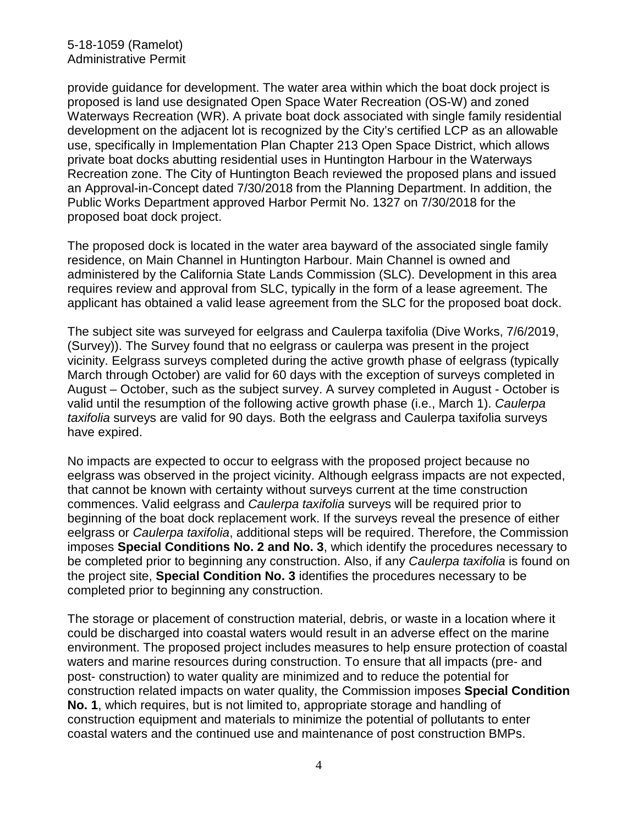provide guidance for development. The water area within which the boat dock project is proposed is land use designated Open Space Water Recreation (OS-W) and zoned Waterways Recreation (WR). A private boat dock associated with single family residential development on the adjacent lot is recognized by the City's certified LCP as an allowable use, specifically in Implementation Plan Chapter 213 Open Space District, which allows private boat docks abutting residential uses in Huntington Harbour in the Waterways Recreation zone. The City of Huntington Beach reviewed the proposed plans and issued an Approval-in-Concept dated 7/30/2018 from the Planning Department. In addition, the Public Works Department approved Harbor Permit No. 1327 on 7/30/2018 for the proposed boat dock project.

The proposed dock is located in the water area bayward of the associated single family residence, on Main Channel in Huntington Harbour. Main Channel is owned and administered by the California State Lands Commission (SLC). Development in this area requires review and approval from SLC, typically in the form of a lease agreement. The applicant has obtained a valid lease agreement from the SLC for the proposed boat dock.

The subject site was surveyed for eelgrass and Caulerpa taxifolia (Dive Works, 7/6/2019, (Survey)). The Survey found that no eelgrass or caulerpa was present in the project vicinity. Eelgrass surveys completed during the active growth phase of eelgrass (typically March through October) are valid for 60 days with the exception of surveys completed in August – October, such as the subject survey. A survey completed in August - October is valid until the resumption of the following active growth phase (i.e., March 1). *Caulerpa taxifolia* surveys are valid for 90 days. Both the eelgrass and Caulerpa taxifolia surveys have expired.

No impacts are expected to occur to eelgrass with the proposed project because no eelgrass was observed in the project vicinity. Although eelgrass impacts are not expected, that cannot be known with certainty without surveys current at the time construction commences. Valid eelgrass and *Caulerpa taxifolia* surveys will be required prior to beginning of the boat dock replacement work. If the surveys reveal the presence of either eelgrass or *Caulerpa taxifolia*, additional steps will be required. Therefore, the Commission imposes **Special Conditions No. 2 and No. 3**, which identify the procedures necessary to be completed prior to beginning any construction. Also, if any *Caulerpa taxifolia* is found on the project site, **Special Condition No. 3** identifies the procedures necessary to be completed prior to beginning any construction.

The storage or placement of construction material, debris, or waste in a location where it could be discharged into coastal waters would result in an adverse effect on the marine environment. The proposed project includes measures to help ensure protection of coastal waters and marine resources during construction. To ensure that all impacts (pre- and post- construction) to water quality are minimized and to reduce the potential for construction related impacts on water quality, the Commission imposes **Special Condition No. 1**, which requires, but is not limited to, appropriate storage and handling of construction equipment and materials to minimize the potential of pollutants to enter coastal waters and the continued use and maintenance of post construction BMPs.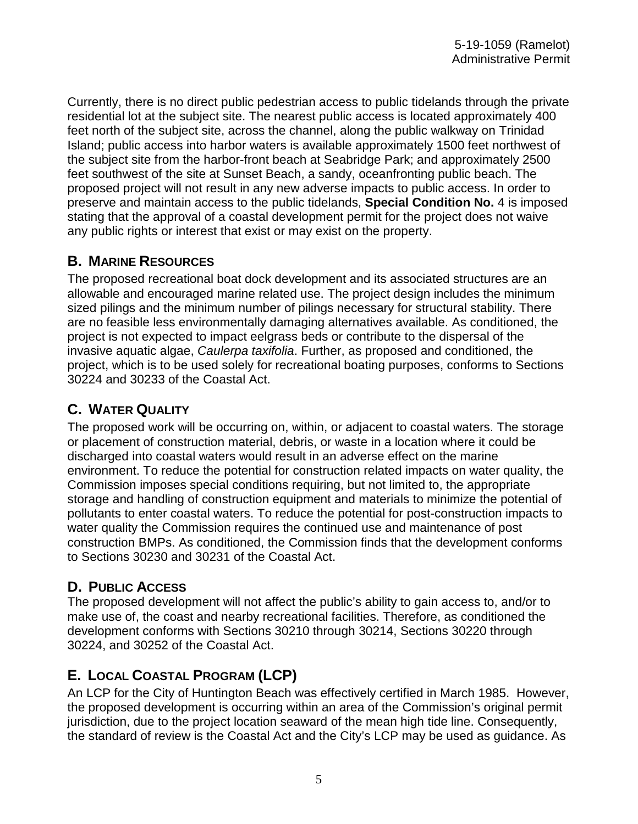Currently, there is no direct public pedestrian access to public tidelands through the private residential lot at the subject site. The nearest public access is located approximately 400 feet north of the subject site, across the channel, along the public walkway on Trinidad Island; public access into harbor waters is available approximately 1500 feet northwest of the subject site from the harbor-front beach at Seabridge Park; and approximately 2500 feet southwest of the site at Sunset Beach, a sandy, oceanfronting public beach. The proposed project will not result in any new adverse impacts to public access. In order to preserve and maintain access to the public tidelands, **Special Condition No.** 4 is imposed stating that the approval of a coastal development permit for the project does not waive any public rights or interest that exist or may exist on the property.

### **B. MARINE RESOURCES**

The proposed recreational boat dock development and its associated structures are an allowable and encouraged marine related use. The project design includes the minimum sized pilings and the minimum number of pilings necessary for structural stability. There are no feasible less environmentally damaging alternatives available. As conditioned, the project is not expected to impact eelgrass beds or contribute to the dispersal of the invasive aquatic algae, *Caulerpa taxifolia*. Further, as proposed and conditioned, the project, which is to be used solely for recreational boating purposes, conforms to Sections 30224 and 30233 of the Coastal Act.

## **C. WATER QUALITY**

The proposed work will be occurring on, within, or adjacent to coastal waters. The storage or placement of construction material, debris, or waste in a location where it could be discharged into coastal waters would result in an adverse effect on the marine environment. To reduce the potential for construction related impacts on water quality, the Commission imposes special conditions requiring, but not limited to, the appropriate storage and handling of construction equipment and materials to minimize the potential of pollutants to enter coastal waters. To reduce the potential for post-construction impacts to water quality the Commission requires the continued use and maintenance of post construction BMPs. As conditioned, the Commission finds that the development conforms to Sections 30230 and 30231 of the Coastal Act.

### **D. PUBLIC ACCESS**

The proposed development will not affect the public's ability to gain access to, and/or to make use of, the coast and nearby recreational facilities. Therefore, as conditioned the development conforms with Sections 30210 through 30214, Sections 30220 through 30224, and 30252 of the Coastal Act.

## **E. LOCAL COASTAL PROGRAM (LCP)**

An LCP for the City of Huntington Beach was effectively certified in March 1985. However, the proposed development is occurring within an area of the Commission's original permit jurisdiction, due to the project location seaward of the mean high tide line. Consequently, the standard of review is the Coastal Act and the City's LCP may be used as guidance. As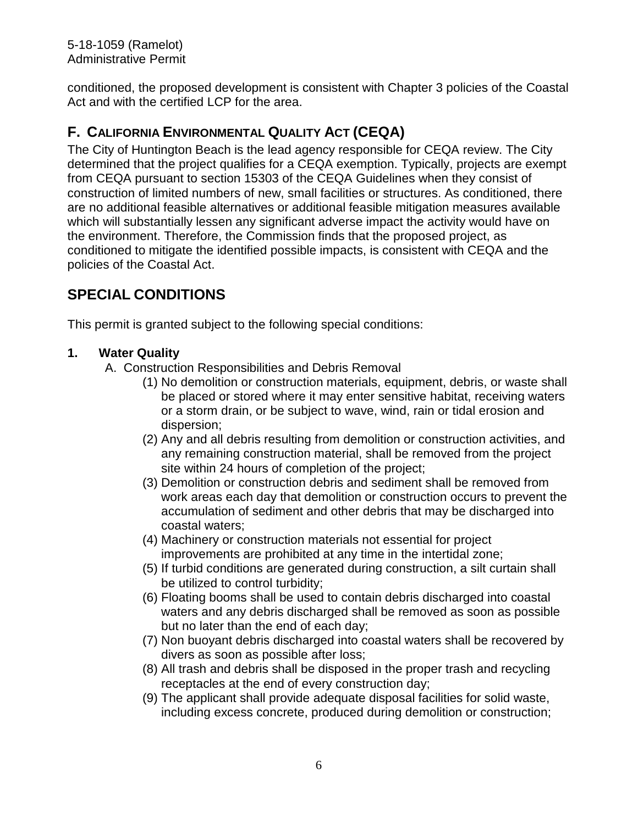5-18-1059 (Ramelot) Administrative Permit

conditioned, the proposed development is consistent with Chapter 3 policies of the Coastal Act and with the certified LCP for the area.

## **F. CALIFORNIA ENVIRONMENTAL QUALITY ACT (CEQA)**

The City of Huntington Beach is the lead agency responsible for CEQA review. The City determined that the project qualifies for a CEQA exemption. Typically, projects are exempt from CEQA pursuant to section 15303 of the CEQA Guidelines when they consist of construction of limited numbers of new, small facilities or structures. As conditioned, there are no additional feasible alternatives or additional feasible mitigation measures available which will substantially lessen any significant adverse impact the activity would have on the environment. Therefore, the Commission finds that the proposed project, as conditioned to mitigate the identified possible impacts, is consistent with CEQA and the policies of the Coastal Act.

## **SPECIAL CONDITIONS**

This permit is granted subject to the following special conditions:

### **1. Water Quality**

- A. Construction Responsibilities and Debris Removal
	- (1) No demolition or construction materials, equipment, debris, or waste shall be placed or stored where it may enter sensitive habitat, receiving waters or a storm drain, or be subject to wave, wind, rain or tidal erosion and dispersion;
	- (2) Any and all debris resulting from demolition or construction activities, and any remaining construction material, shall be removed from the project site within 24 hours of completion of the project;
	- (3) Demolition or construction debris and sediment shall be removed from work areas each day that demolition or construction occurs to prevent the accumulation of sediment and other debris that may be discharged into coastal waters;
	- (4) Machinery or construction materials not essential for project improvements are prohibited at any time in the intertidal zone;
	- (5) If turbid conditions are generated during construction, a silt curtain shall be utilized to control turbidity;
	- (6) Floating booms shall be used to contain debris discharged into coastal waters and any debris discharged shall be removed as soon as possible but no later than the end of each day;
	- (7) Non buoyant debris discharged into coastal waters shall be recovered by divers as soon as possible after loss;
	- (8) All trash and debris shall be disposed in the proper trash and recycling receptacles at the end of every construction day;
	- (9) The applicant shall provide adequate disposal facilities for solid waste, including excess concrete, produced during demolition or construction;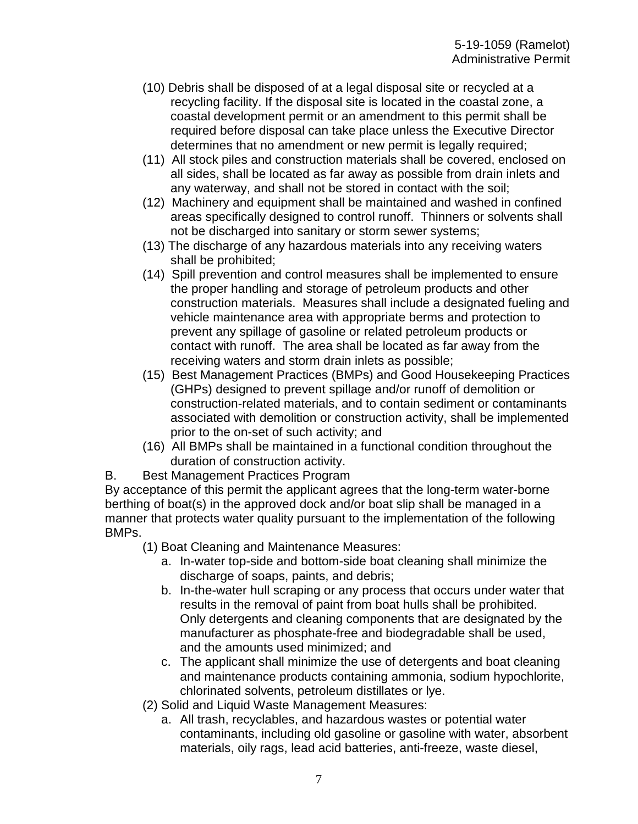- (10) Debris shall be disposed of at a legal disposal site or recycled at a recycling facility. If the disposal site is located in the coastal zone, a coastal development permit or an amendment to this permit shall be required before disposal can take place unless the Executive Director determines that no amendment or new permit is legally required;
- (11) All stock piles and construction materials shall be covered, enclosed on all sides, shall be located as far away as possible from drain inlets and any waterway, and shall not be stored in contact with the soil;
- (12) Machinery and equipment shall be maintained and washed in confined areas specifically designed to control runoff. Thinners or solvents shall not be discharged into sanitary or storm sewer systems;
- (13) The discharge of any hazardous materials into any receiving waters shall be prohibited;
- (14) Spill prevention and control measures shall be implemented to ensure the proper handling and storage of petroleum products and other construction materials. Measures shall include a designated fueling and vehicle maintenance area with appropriate berms and protection to prevent any spillage of gasoline or related petroleum products or contact with runoff. The area shall be located as far away from the receiving waters and storm drain inlets as possible;
- (15) Best Management Practices (BMPs) and Good Housekeeping Practices (GHPs) designed to prevent spillage and/or runoff of demolition or construction-related materials, and to contain sediment or contaminants associated with demolition or construction activity, shall be implemented prior to the on-set of such activity; and
- (16) All BMPs shall be maintained in a functional condition throughout the duration of construction activity.
- B. Best Management Practices Program

By acceptance of this permit the applicant agrees that the long-term water-borne berthing of boat(s) in the approved dock and/or boat slip shall be managed in a manner that protects water quality pursuant to the implementation of the following BMPs.

- (1) Boat Cleaning and Maintenance Measures:
	- a. In-water top-side and bottom-side boat cleaning shall minimize the discharge of soaps, paints, and debris;
	- b. In-the-water hull scraping or any process that occurs under water that results in the removal of paint from boat hulls shall be prohibited. Only detergents and cleaning components that are designated by the manufacturer as phosphate-free and biodegradable shall be used, and the amounts used minimized; and
	- c. The applicant shall minimize the use of detergents and boat cleaning and maintenance products containing ammonia, sodium hypochlorite, chlorinated solvents, petroleum distillates or lye.
- (2) Solid and Liquid Waste Management Measures:
	- a. All trash, recyclables, and hazardous wastes or potential water contaminants, including old gasoline or gasoline with water, absorbent materials, oily rags, lead acid batteries, anti-freeze, waste diesel,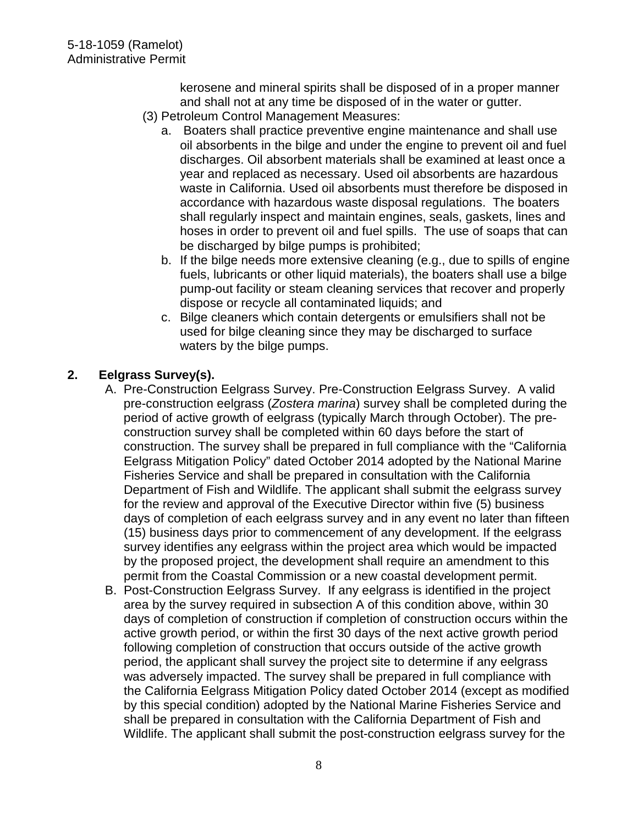kerosene and mineral spirits shall be disposed of in a proper manner and shall not at any time be disposed of in the water or gutter.

- (3) Petroleum Control Management Measures:
	- a. Boaters shall practice preventive engine maintenance and shall use oil absorbents in the bilge and under the engine to prevent oil and fuel discharges. Oil absorbent materials shall be examined at least once a year and replaced as necessary. Used oil absorbents are hazardous waste in California. Used oil absorbents must therefore be disposed in accordance with hazardous waste disposal regulations. The boaters shall regularly inspect and maintain engines, seals, gaskets, lines and hoses in order to prevent oil and fuel spills. The use of soaps that can be discharged by bilge pumps is prohibited;
	- b. If the bilge needs more extensive cleaning (e.g., due to spills of engine fuels, lubricants or other liquid materials), the boaters shall use a bilge pump-out facility or steam cleaning services that recover and properly dispose or recycle all contaminated liquids; and
	- c. Bilge cleaners which contain detergents or emulsifiers shall not be used for bilge cleaning since they may be discharged to surface waters by the bilge pumps.

### **2. Eelgrass Survey(s).**

- A. Pre-Construction Eelgrass Survey. Pre-Construction Eelgrass Survey. A valid pre-construction eelgrass (*Zostera marina*) survey shall be completed during the period of active growth of eelgrass (typically March through October). The preconstruction survey shall be completed within 60 days before the start of construction. The survey shall be prepared in full compliance with the "California Eelgrass Mitigation Policy" dated October 2014 adopted by the National Marine Fisheries Service and shall be prepared in consultation with the California Department of Fish and Wildlife. The applicant shall submit the eelgrass survey for the review and approval of the Executive Director within five (5) business days of completion of each eelgrass survey and in any event no later than fifteen (15) business days prior to commencement of any development. If the eelgrass survey identifies any eelgrass within the project area which would be impacted by the proposed project, the development shall require an amendment to this permit from the Coastal Commission or a new coastal development permit.
- B. Post-Construction Eelgrass Survey. If any eelgrass is identified in the project area by the survey required in subsection A of this condition above, within 30 days of completion of construction if completion of construction occurs within the active growth period, or within the first 30 days of the next active growth period following completion of construction that occurs outside of the active growth period, the applicant shall survey the project site to determine if any eelgrass was adversely impacted. The survey shall be prepared in full compliance with the California Eelgrass Mitigation Policy dated October 2014 (except as modified by this special condition) adopted by the National Marine Fisheries Service and shall be prepared in consultation with the California Department of Fish and Wildlife. The applicant shall submit the post-construction eelgrass survey for the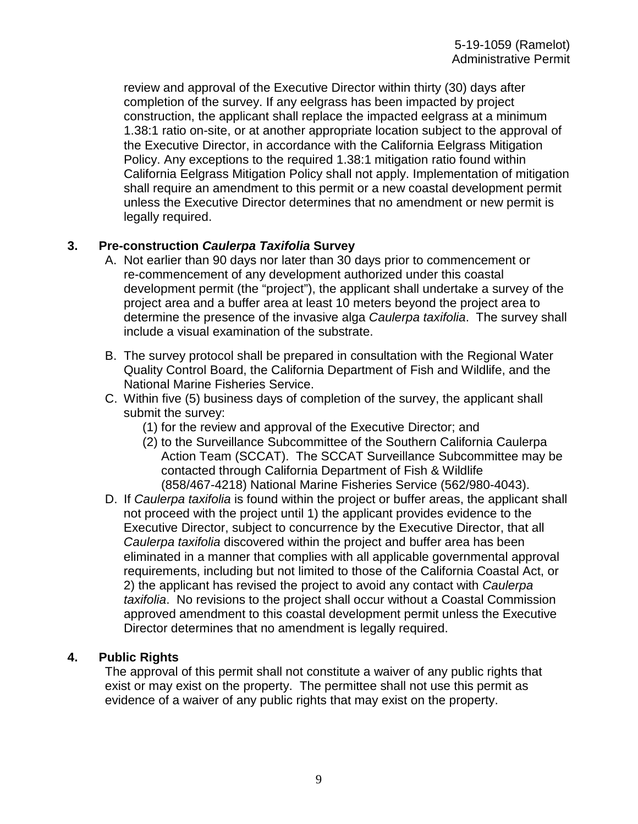review and approval of the Executive Director within thirty (30) days after completion of the survey. If any eelgrass has been impacted by project construction, the applicant shall replace the impacted eelgrass at a minimum 1.38:1 ratio on-site, or at another appropriate location subject to the approval of the Executive Director, in accordance with the California Eelgrass Mitigation Policy. Any exceptions to the required 1.38:1 mitigation ratio found within California Eelgrass Mitigation Policy shall not apply. Implementation of mitigation shall require an amendment to this permit or a new coastal development permit unless the Executive Director determines that no amendment or new permit is legally required.

#### **3. Pre-construction** *Caulerpa Taxifolia* **Survey**

- A. Not earlier than 90 days nor later than 30 days prior to commencement or re-commencement of any development authorized under this coastal development permit (the "project"), the applicant shall undertake a survey of the project area and a buffer area at least 10 meters beyond the project area to determine the presence of the invasive alga *Caulerpa taxifolia*. The survey shall include a visual examination of the substrate.
- B. The survey protocol shall be prepared in consultation with the Regional Water Quality Control Board, the California Department of Fish and Wildlife, and the National Marine Fisheries Service.
- C. Within five (5) business days of completion of the survey, the applicant shall submit the survey:
	- (1) for the review and approval of the Executive Director; and
	- (2) to the Surveillance Subcommittee of the Southern California Caulerpa Action Team (SCCAT). The SCCAT Surveillance Subcommittee may be contacted through California Department of Fish & Wildlife (858/467-4218) National Marine Fisheries Service (562/980-4043).
- D. If *Caulerpa taxifolia* is found within the project or buffer areas, the applicant shall not proceed with the project until 1) the applicant provides evidence to the Executive Director, subject to concurrence by the Executive Director, that all *Caulerpa taxifolia* discovered within the project and buffer area has been eliminated in a manner that complies with all applicable governmental approval requirements, including but not limited to those of the California Coastal Act, or 2) the applicant has revised the project to avoid any contact with *Caulerpa taxifolia*. No revisions to the project shall occur without a Coastal Commission approved amendment to this coastal development permit unless the Executive Director determines that no amendment is legally required.

#### **4. Public Rights**

The approval of this permit shall not constitute a waiver of any public rights that exist or may exist on the property. The permittee shall not use this permit as evidence of a waiver of any public rights that may exist on the property.